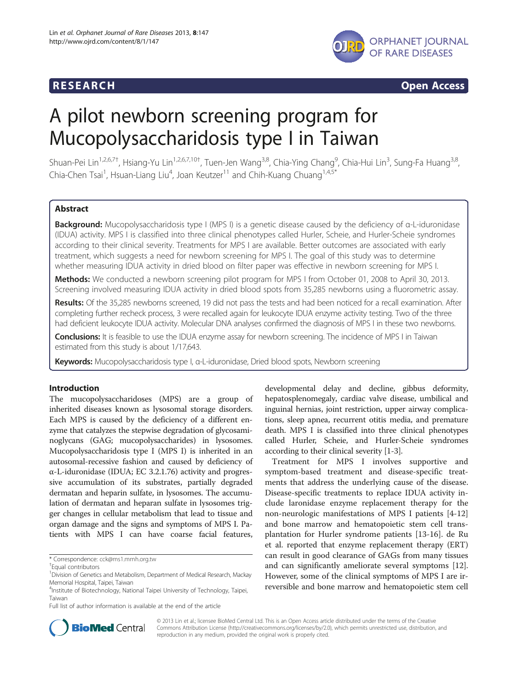

# **RESEARCH RESEARCH CONSUMING ACCESS**

# A pilot newborn screening program for Mucopolysaccharidosis type I in Taiwan

Shuan-Pei Lin<sup>1,2,6,7†</sup>, Hsiang-Yu Lin<sup>1,2,6,7,10†</sup>, Tuen-Jen Wang<sup>3,8</sup>, Chia-Ying Chang<sup>9</sup>, Chia-Hui Lin<sup>3</sup>, Sung-Fa Huang<sup>3,8</sup>, Chia-Chen Tsai<sup>1</sup>, Hsuan-Liang Liu<sup>4</sup>, Joan Keutzer<sup>11</sup> and Chih-Kuang Chuang<sup>1,4,5\*</sup>

# Abstract

Background: Mucopolysaccharidosis type I (MPS I) is a genetic disease caused by the deficiency of α-L-iduronidase (IDUA) activity. MPS I is classified into three clinical phenotypes called Hurler, Scheie, and Hurler-Scheie syndromes according to their clinical severity. Treatments for MPS I are available. Better outcomes are associated with early treatment, which suggests a need for newborn screening for MPS I. The goal of this study was to determine whether measuring IDUA activity in dried blood on filter paper was effective in newborn screening for MPS I.

Methods: We conducted a newborn screening pilot program for MPS I from October 01, 2008 to April 30, 2013. Screening involved measuring IDUA activity in dried blood spots from 35,285 newborns using a fluorometric assay.

Results: Of the 35,285 newborns screened, 19 did not pass the tests and had been noticed for a recall examination. After completing further recheck process, 3 were recalled again for leukocyte IDUA enzyme activity testing. Two of the three had deficient leukocyte IDUA activity. Molecular DNA analyses confirmed the diagnosis of MPS I in these two newborns.

Conclusions: It is feasible to use the IDUA enzyme assay for newborn screening. The incidence of MPS I in Taiwan estimated from this study is about 1/17,643.

Keywords: Mucopolysaccharidosis type I, a-L-iduronidase, Dried blood spots, Newborn screening

### Introduction

The mucopolysaccharidoses (MPS) are a group of inherited diseases known as lysosomal storage disorders. Each MPS is caused by the deficiency of a different enzyme that catalyzes the stepwise degradation of glycosaminoglycans (GAG; mucopolysaccharides) in lysosomes. Mucopolysaccharidosis type I (MPS I) is inherited in an autosomal-recessive fashion and caused by deficiency of α-L-iduronidase (IDUA; EC 3.2.1.76) activity and progressive accumulation of its substrates, partially degraded dermatan and heparin sulfate, in lysosomes. The accumulation of dermatan and heparan sulfate in lysosomes trigger changes in cellular metabolism that lead to tissue and organ damage and the signs and symptoms of MPS I. Patients with MPS I can have coarse facial features,

\* Correspondence: [cck@ms1.mmh.org.tw](mailto:cck@ms1.mmh.org.tw) †

Equal contributors

developmental delay and decline, gibbus deformity, hepatosplenomegaly, cardiac valve disease, umbilical and inguinal hernias, joint restriction, upper airway complications, sleep apnea, recurrent otitis media, and premature death. MPS I is classified into three clinical phenotypes called Hurler, Scheie, and Hurler-Scheie syndromes according to their clinical severity [\[1-3](#page-6-0)].

Treatment for MPS I involves supportive and symptom-based treatment and disease-specific treatments that address the underlying cause of the disease. Disease-specific treatments to replace IDUA activity include laronidase enzyme replacement therapy for the non-neurologic manifestations of MPS I patients [\[4](#page-6-0)-[12](#page-6-0)] and bone marrow and hematopoietic stem cell transplantation for Hurler syndrome patients [[13-16](#page-6-0)]. de Ru et al. reported that enzyme replacement therapy (ERT) can result in good clearance of GAGs from many tissues and can significantly ameliorate several symptoms [\[12](#page-6-0)]. However, some of the clinical symptoms of MPS I are irreversible and bone marrow and hematopoietic stem cell



© 2013 Lin et al.; licensee BioMed Central Ltd. This is an Open Access article distributed under the terms of the Creative Commons Attribution License [\(http://creativecommons.org/licenses/by/2.0\)](http://creativecommons.org/licenses/by/2.0), which permits unrestricted use, distribution, and reproduction in any medium, provided the original work is properly cited.

<sup>&</sup>lt;sup>1</sup> Division of Genetics and Metabolism, Department of Medical Research, Mackay Memorial Hospital, Taipei, Taiwan

<sup>4</sup> Institute of Biotechnology, National Taipei University of Technology, Taipei, Taiwan

Full list of author information is available at the end of the article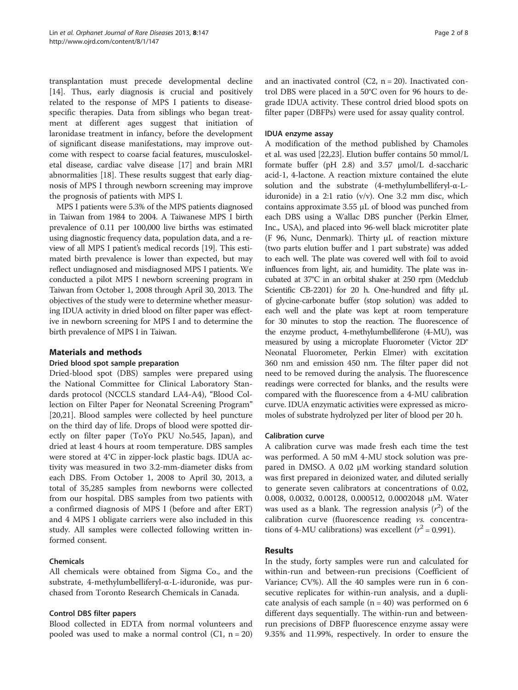transplantation must precede developmental decline [[14\]](#page-6-0). Thus, early diagnosis is crucial and positively related to the response of MPS I patients to diseasespecific therapies. Data from siblings who began treatment at different ages suggest that initiation of laronidase treatment in infancy, before the development of significant disease manifestations, may improve outcome with respect to coarse facial features, musculoskeletal disease, cardiac valve disease [\[17\]](#page-6-0) and brain MRI abnormalities [\[18](#page-6-0)]. These results suggest that early diagnosis of MPS I through newborn screening may improve the prognosis of patients with MPS I.

MPS I patients were 5.3% of the MPS patients diagnosed in Taiwan from 1984 to 2004. A Taiwanese MPS I birth prevalence of 0.11 per 100,000 live births was estimated using diagnostic frequency data, population data, and a review of all MPS I patient's medical records [[19\]](#page-6-0). This estimated birth prevalence is lower than expected, but may reflect undiagnosed and misdiagnosed MPS I patients. We conducted a pilot MPS I newborn screening program in Taiwan from October 1, 2008 through April 30, 2013. The objectives of the study were to determine whether measuring IDUA activity in dried blood on filter paper was effective in newborn screening for MPS I and to determine the birth prevalence of MPS I in Taiwan.

# Materials and methods

# Dried blood spot sample preparation

Dried-blood spot (DBS) samples were prepared using the National Committee for Clinical Laboratory Standards protocol (NCCLS standard LA4-A4), "Blood Collection on Filter Paper for Neonatal Screening Program" [[20,21\]](#page-6-0). Blood samples were collected by heel puncture on the third day of life. Drops of blood were spotted directly on filter paper (ToYo PKU No.545, Japan), and dried at least 4 hours at room temperature. DBS samples were stored at 4°C in zipper-lock plastic bags. IDUA activity was measured in two 3.2-mm-diameter disks from each DBS. From October 1, 2008 to April 30, 2013, a total of 35,285 samples from newborns were collected from our hospital. DBS samples from two patients with a confirmed diagnosis of MPS I (before and after ERT) and 4 MPS I obligate carriers were also included in this study. All samples were collected following written informed consent.

# Chemicals

All chemicals were obtained from Sigma Co., and the substrate, 4-methylumbelliferyl-α-L-iduronide, was purchased from Toronto Research Chemicals in Canada.

### Control DBS filter papers

Blood collected in EDTA from normal volunteers and pooled was used to make a normal control (C1,  $n = 20$ )

and an inactivated control (C2,  $n = 20$ ). Inactivated control DBS were placed in a 50°C oven for 96 hours to degrade IDUA activity. These control dried blood spots on filter paper (DBFPs) were used for assay quality control.

### IDUA enzyme assay

A modification of the method published by Chamoles et al. was used [[22,23](#page-6-0)]. Elution buffer contains 50 mmol/L formate buffer (pH 2.8) and 3.57 μmol/L d-saccharic acid-1, 4-lactone. A reaction mixture contained the elute solution and the substrate (4-methylumbelliferyl-α-Liduronide) in a 2:1 ratio (v/v). One 3.2 mm disc, which contains approximate 3.55 μL of blood was punched from each DBS using a Wallac DBS puncher (Perkin Elmer, Inc., USA), and placed into 96-well black microtiter plate (F 96, Nunc, Denmark). Thirty μL of reaction mixture (two parts elution buffer and 1 part substrate) was added to each well. The plate was covered well with foil to avoid influences from light, air, and humidity. The plate was incubated at 37°C in an orbital shaker at 250 rpm (Medclub Scientific CB-2201) for 20 h. One-hundred and fifty μL of glycine-carbonate buffer (stop solution) was added to each well and the plate was kept at room temperature for 30 minutes to stop the reaction. The fluorescence of the enzyme product, 4-methylumbelliferone (4-MU), was measured by using a microplate Fluorometer (Victor 2D® Neonatal Fluorometer, Perkin Elmer) with excitation 360 nm and emission 450 nm. The filter paper did not need to be removed during the analysis. The fluorescence readings were corrected for blanks, and the results were compared with the fluorescence from a 4-MU calibration curve. IDUA enzymatic activities were expressed as micromoles of substrate hydrolyzed per liter of blood per 20 h.

### Calibration curve

A calibration curve was made fresh each time the test was performed. A 50 mM 4-MU stock solution was prepared in DMSO. A 0.02 μM working standard solution was first prepared in deionized water, and diluted serially to generate seven calibrators at concentrations of 0.02, 0.008, 0.0032, 0.00128, 0.000512, 0.0002048 μM. Water was used as a blank. The regression analysis  $(r^2)$  of the calibration curve (fluorescence reading vs. concentrations of 4-MU calibrations) was excellent ( $r^2 = 0.991$ ).

### Results

In the study, forty samples were run and calculated for within-run and between-run precisions (Coefficient of Variance; CV%). All the 40 samples were run in 6 consecutive replicates for within-run analysis, and a duplicate analysis of each sample  $(n = 40)$  was performed on 6 different days sequentially. The within-run and betweenrun precisions of DBFP fluorescence enzyme assay were 9.35% and 11.99%, respectively. In order to ensure the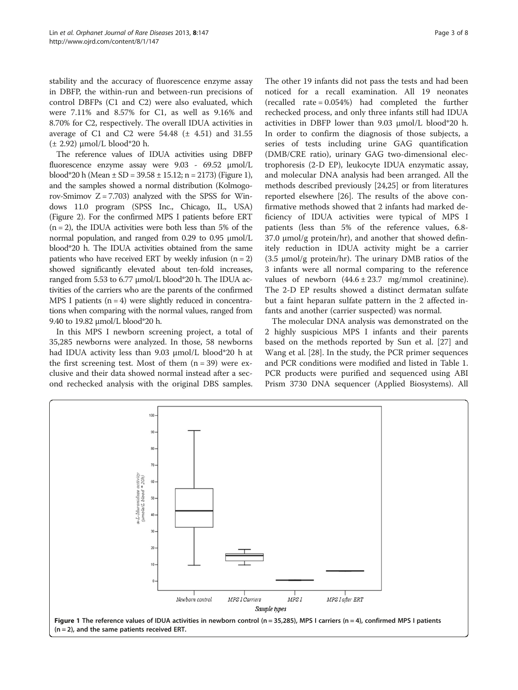stability and the accuracy of fluorescence enzyme assay in DBFP, the within-run and between-run precisions of control DBFPs (C1 and C2) were also evaluated, which were 7.11% and 8.57% for C1, as well as 9.16% and 8.70% for C2, respectively. The overall IDUA activities in average of C1 and C2 were  $54.48$  ( $\pm$  4.51) and 31.55  $(\pm 2.92)$  μmol/L blood\*20 h.

The reference values of IDUA activities using DBFP fluorescence enzyme assay were 9.03 - 69.52 μmol/L blood\*20 h (Mean  $\pm$  SD = 39.58  $\pm$  15.12; n = 2173) (Figure 1), and the samples showed a normal distribution (Kolmogorov-Smimov  $Z = 7.703$ ) analyzed with the SPSS for Windows 11.0 program (SPSS Inc., Chicago, IL, USA) (Figure [2\)](#page-3-0). For the confirmed MPS I patients before ERT  $(n = 2)$ , the IDUA activities were both less than 5% of the normal population, and ranged from 0.29 to 0.95 μmol/L blood\*20 h. The IDUA activities obtained from the same patients who have received ERT by weekly infusion  $(n = 2)$ showed significantly elevated about ten-fold increases, ranged from 5.53 to 6.77 μmol/L blood\*20 h. The IDUA activities of the carriers who are the parents of the confirmed MPS I patients  $(n = 4)$  were slightly reduced in concentrations when comparing with the normal values, ranged from 9.40 to 19.82 μmol/L blood\*20 h.

In this MPS I newborn screening project, a total of 35,285 newborns were analyzed. In those, 58 newborns had IDUA activity less than 9.03 μmol/L blood\*20 h at the first screening test. Most of them  $(n = 39)$  were exclusive and their data showed normal instead after a second rechecked analysis with the original DBS samples.

The other 19 infants did not pass the tests and had been noticed for a recall examination. All 19 neonates (recalled rate = 0.054%) had completed the further rechecked process, and only three infants still had IDUA activities in DBFP lower than 9.03 μmol/L blood\*20 h. In order to confirm the diagnosis of those subjects, a series of tests including urine GAG quantification (DMB/CRE ratio), urinary GAG two-dimensional electrophoresis (2-D EP), leukocyte IDUA enzymatic assay, and molecular DNA analysis had been arranged. All the methods described previously [[24](#page-6-0),[25](#page-6-0)] or from literatures reported elsewhere [\[26](#page-6-0)]. The results of the above confirmative methods showed that 2 infants had marked deficiency of IDUA activities were typical of MPS I patients (less than 5% of the reference values, 6.8- 37.0  $\mu$ mol/g protein/hr), and another that showed definitely reduction in IDUA activity might be a carrier (3.5 μmol/g protein/hr). The urinary DMB ratios of the 3 infants were all normal comparing to the reference values of newborn  $(44.6 \pm 23.7 \text{ mg/mmol}$  creatinine). The 2-D EP results showed a distinct dermatan sulfate but a faint heparan sulfate pattern in the 2 affected infants and another (carrier suspected) was normal.

The molecular DNA analysis was demonstrated on the 2 highly suspicious MPS I infants and their parents based on the methods reported by Sun et al. [\[27\]](#page-6-0) and Wang et al. [[28](#page-6-0)]. In the study, the PCR primer sequences and PCR conditions were modified and listed in Table [1](#page-4-0). PCR products were purified and sequenced using ABI Prism 3730 DNA sequencer (Applied Biosystems). All

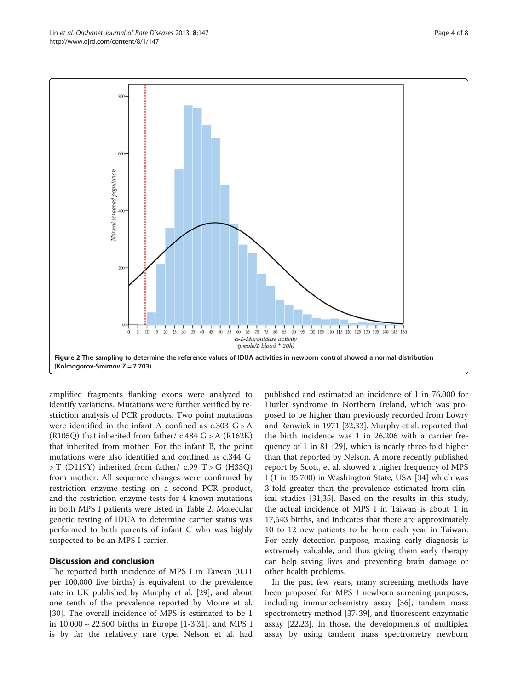<span id="page-3-0"></span>

amplified fragments flanking exons were analyzed to identify variations. Mutations were further verified by restriction analysis of PCR products. Two point mutations were identified in the infant A confined as  $c.303$   $G > A$ (R105Q) that inherited from father/  $c.484$  G > A (R162K) that inherited from mother. For the infant B, the point mutations were also identified and confined as c.344 G  $>$  T (D119Y) inherited from father/ c.99 T  $>$  G (H33O) from mother. All sequence changes were confirmed by restriction enzyme testing on a second PCR product, and the restriction enzyme tests for 4 known mutations in both MPS I patients were listed in Table [2.](#page-4-0) Molecular genetic testing of IDUA to determine carrier status was performed to both parents of infant C who was highly suspected to be an MPS I carrier.

## Discussion and conclusion

The reported birth incidence of MPS I in Taiwan (0.11 per 100,000 live births) is equivalent to the prevalence rate in UK published by Murphy et al. [[29\]](#page-6-0), and about one tenth of the prevalence reported by Moore et al. [[30\]](#page-7-0). The overall incidence of MPS is estimated to be 1 in 10,000 ~ 22,500 births in Europe [[1-3](#page-6-0)[,31](#page-7-0)], and MPS I is by far the relatively rare type. Nelson et al. had

published and estimated an incidence of 1 in 76,000 for Hurler syndrome in Northern Ireland, which was proposed to be higher than previously recorded from Lowry and Renwick in 1971 [[32](#page-7-0),[33](#page-7-0)]. Murphy et al. reported that the birth incidence was 1 in 26,206 with a carrier frequency of 1 in 81 [[29](#page-6-0)], which is nearly three-fold higher than that reported by Nelson. A more recently published report by Scott, et al. showed a higher frequency of MPS I (1 in 35,700) in Washington State, USA [\[34\]](#page-7-0) which was 3-fold greater than the prevalence estimated from clinical studies [\[31,35\]](#page-7-0). Based on the results in this study, the actual incidence of MPS I in Taiwan is about 1 in 17,643 births, and indicates that there are approximately 10 to 12 new patients to be born each year in Taiwan. For early detection purpose, making early diagnosis is extremely valuable, and thus giving them early therapy can help saving lives and preventing brain damage or other health problems.

In the past few years, many screening methods have been proposed for MPS I newborn screening purposes, including immunochemistry assay [\[36\]](#page-7-0), tandem mass spectrometry method [\[37](#page-7-0)-[39](#page-7-0)], and fluorescent enzymatic assay [[22](#page-6-0),[23](#page-6-0)]. In those, the developments of multiplex assay by using tandem mass spectrometry newborn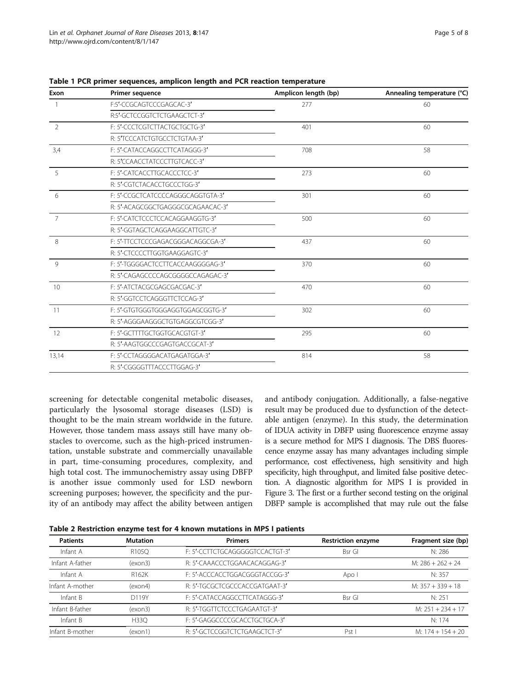| Exon           | Primer sequence                   | Amplicon length (bp) | Annealing temperature (°C) |
|----------------|-----------------------------------|----------------------|----------------------------|
| $\overline{1}$ | F:5'-CCGCAGTCCCGAGCAC-3'          | 277                  | 60                         |
|                | R:5'-GCTCCGGTCTCTGAAGCTCT-3'      |                      |                            |
| $\overline{2}$ | F: 5'-CCCTCGTCTTACTGCTGCTG-3'     | 401                  | 60                         |
|                | R: 5'TCCCATCTGTGCCTCTGTAA-3'      |                      |                            |
| 3,4            | F: 5'-CATACCAGGCCTTCATAGGG-3'     | 708                  | 58                         |
|                | R: 5'CCAACCTATCCCTTGTCACC-3'      |                      |                            |
| $\overline{5}$ | F: 5'-CATCACCTTGCACCCTCC-3'       | 273                  | 60                         |
|                | R: 5'-CGTCTACACCTGCCCTGG-3'       |                      |                            |
| 6              | F: 5'-CCGCTCATCCCCAGGGCAGGTGTA-3' | 301                  | 60                         |
|                | R: 5'-ACAGCGGCTGAGGGCGCAGAACAC-3' |                      |                            |
| $\overline{7}$ | F: 5'-CATCTCCCTCCACAGGAAGGTG-3'   | 500                  | 60                         |
|                | R: 5'-GGTAGCTCAGGAAGGCATTGTC-3'   |                      |                            |
| 8              | F: 5'-TTCCTCCCGAGACGGGACAGGCGA-3' | 437                  | 60                         |
|                | R: 5'-CTCCCCTTGGTGAAGGAGTC-3'     |                      |                            |
| $\circ$        | F: 5'-TGGGGACTCCTTCACCAAGGGGAG-3' | 370                  | 60                         |
|                | R: 5'-CAGAGCCCCAGCGGGGCCAGAGAC-3' |                      |                            |
| 10             | F: 5'-ATCTACGCGAGCGACGAC-3'       | 470                  | 60                         |
|                | R: 5'-GGTCCTCAGGGTTCTCCAG-3'      |                      |                            |
| 11             | F: 5'-GTGTGGGTGGGAGGTGGAGCGGTG-3' | 302                  | 60                         |
|                | R: 5'-AGGGAAGGGCTGTGAGGCGTCGG-3'  |                      |                            |
| 12             | F: 5'-GCTTTTGCTGGTGCACGTGT-3'     | 295                  | 60                         |
|                | R: 5'-AAGTGGCCCGAGTGACCGCAT-3'    |                      |                            |
| 13,14          | F: 5'-CCTAGGGGACATGAGATGGA-3'     | 814                  | 58                         |
|                | R: 5'-CGGGGTTTACCCTTGGAG-3'       |                      |                            |

<span id="page-4-0"></span>Table 1 PCR primer sequences, amplicon length and PCR reaction temperature

screening for detectable congenital metabolic diseases, particularly the lysosomal storage diseases (LSD) is thought to be the main stream worldwide in the future. However, those tandem mass assays still have many obstacles to overcome, such as the high-priced instrumentation, unstable substrate and commercially unavailable in part, time-consuming procedures, complexity, and high total cost. The immunochemistry assay using DBFP is another issue commonly used for LSD newborn screening purposes; however, the specificity and the purity of an antibody may affect the ability between antigen and antibody conjugation. Additionally, a false-negative result may be produced due to dysfunction of the detectable antigen (enzyme). In this study, the determination of IDUA activity in DBFP using fluorescence enzyme assay is a secure method for MPS I diagnosis. The DBS fluorescence enzyme assay has many advantages including simple performance, cost effectiveness, high sensitivity and high specificity, high throughput, and limited false positive detection. A diagnostic algorithm for MPS I is provided in Figure [3](#page-5-0). The first or a further second testing on the original DBFP sample is accomplished that may rule out the false

|  | Table 2 Restriction enzyme test for 4 known mutations in MPS I patients |  |  |  |  |  |  |
|--|-------------------------------------------------------------------------|--|--|--|--|--|--|
|--|-------------------------------------------------------------------------|--|--|--|--|--|--|

| <b>Patients</b> | <b>Mutation</b>    | <b>Primers</b>                  | <b>Restriction enzyme</b> | Fragment size (bp)  |
|-----------------|--------------------|---------------------------------|---------------------------|---------------------|
| Infant A        | R <sub>105</sub> O | F: 5'-CCTTCTGCAGGGGGTCCACTGT-3' | Bsr Gl                    | N: 286              |
| Infant A-father | (exon3)            | R: 5'-CAAACCCTGGAACACAGGAG-3'   |                           | $M: 286 + 262 + 24$ |
| Infant A        | R162K              | F: 5'-ACCCACCTGGACGGGTACCGG-3'  | Apo I                     | N: 357              |
| Infant A-mother | (exon4)            | R: 5'-TGCGCTCGCCCACCGATGAAT-3'  |                           | M: $357 + 339 + 18$ |
| Infant B        | D119Y              | F: 5'-CATACCAGGCCTTCATAGGG-3'   | <b>Bsr</b> GI             | N: 251              |
| Infant B-father | (exon3)            | R: 5'-TGGTTCTCCCTGAGAATGT-3'    |                           | $M: 251 + 234 + 17$ |
| Infant B        | <b>H330</b>        | F: 5'-GAGGCCCCGCACCTGCTGCA-3'   |                           | N: 174              |
| Infant B-mother | (exon1)            | R: 5'-GCTCCGGTCTCTGAAGCTCT-3'   | Pst                       | M: $174 + 154 + 20$ |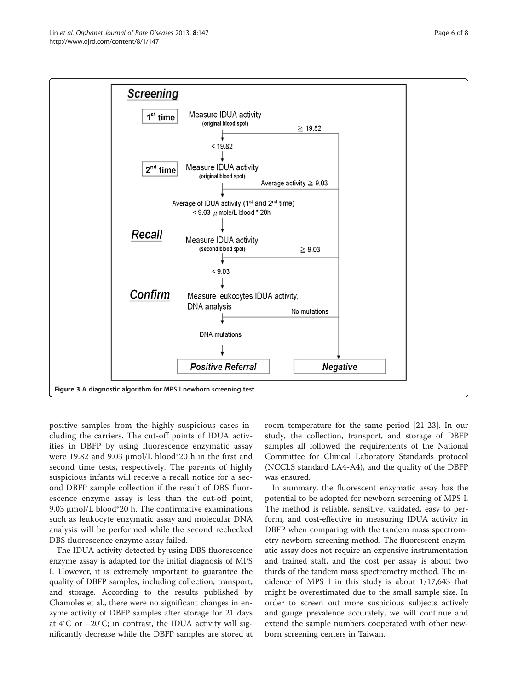<span id="page-5-0"></span>

positive samples from the highly suspicious cases including the carriers. The cut-off points of IDUA activities in DBFP by using fluorescence enzymatic assay were 19.82 and 9.03 μmol/L blood\*20 h in the first and second time tests, respectively. The parents of highly suspicious infants will receive a recall notice for a second DBFP sample collection if the result of DBS fluorescence enzyme assay is less than the cut-off point, 9.03 μmol/L blood\*20 h. The confirmative examinations such as leukocyte enzymatic assay and molecular DNA analysis will be performed while the second rechecked DBS fluorescence enzyme assay failed.

The IDUA activity detected by using DBS fluorescence enzyme assay is adapted for the initial diagnosis of MPS I. However, it is extremely important to guarantee the quality of DBFP samples, including collection, transport, and storage. According to the results published by Chamoles et al., there were no significant changes in enzyme activity of DBFP samples after storage for 21 days at 4°C or −20°C; in contrast, the IDUA activity will significantly decrease while the DBFP samples are stored at

room temperature for the same period [\[21](#page-6-0)-[23\]](#page-6-0). In our study, the collection, transport, and storage of DBFP samples all followed the requirements of the National Committee for Clinical Laboratory Standards protocol (NCCLS standard LA4-A4), and the quality of the DBFP was ensured.

In summary, the fluorescent enzymatic assay has the potential to be adopted for newborn screening of MPS I. The method is reliable, sensitive, validated, easy to perform, and cost-effective in measuring IDUA activity in DBFP when comparing with the tandem mass spectrometry newborn screening method. The fluorescent enzymatic assay does not require an expensive instrumentation and trained staff, and the cost per assay is about two thirds of the tandem mass spectrometry method. The incidence of MPS I in this study is about 1/17,643 that might be overestimated due to the small sample size. In order to screen out more suspicious subjects actively and gauge prevalence accurately, we will continue and extend the sample numbers cooperated with other newborn screening centers in Taiwan.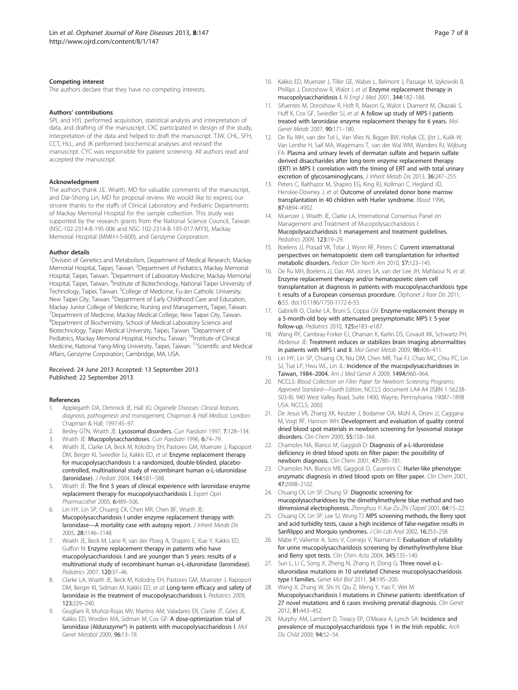#### <span id="page-6-0"></span>Competing interest

The authors declare that they have no competing interests.

#### Authors' contributions

SPL and HYL performed acquisition, statistical analysis and interpretation of data, and drafting of the manuscript. CKC participated in design of the study, interpretation of the data and helped to draft the manuscript. TJW, CHL, SFH, CCT, HLL, and JK performed biochemical analyses and revised the manuscript. CYC was responsible for patient screening. All authors read and accepted the manuscript.

#### Acknowledgment

The authors thank J.E. Wraith, MD for valuable comments of the manuscript, and Dar-Shong Lin, MD for proposal review. We would like to express our sincere thanks to the staffs of Clinical Laboratory and Pediatric Departments of Mackay Memorial Hospital for the sample collection. This study was supported by the research grants from the National Science Council, Taiwan (NSC-102-2314-B-195-006 and NSC-102-2314-B-195-017-MY3), Mackay Memorial Hospital (MMH-I-S-600), and Genzyme Corporation.

#### Author details

<sup>1</sup> Division of Genetics and Metabolism, Department of Medical Research, Mackay Memorial Hospital, Taipei, Taiwan. <sup>2</sup>Department of Pediatrics, Mackay Memorial Hospital, Taipei, Taiwan. <sup>3</sup>Department of Laboratory Medicine, Mackay Memorial Hospital, Taipei, Taiwan. <sup>4</sup>Institute of Biotechnology, National Taipei University of Technology, Taipei, Taiwan. <sup>5</sup>College of Medicine, Fu-Jen Catholic University, New Taipei City, Taiwan. <sup>6</sup>Department of Early Childhood Care and Education, Mackay Junior College of Medicine, Nursing and Management,, Taipei, Taiwan. 7 Department of Medicine, Mackay Medical College, New Taipei City, Taiwan. 8 Department of Biochemistry, School of Medical Laboratory Science and Biotechnology, Taipei Medical University, Taipei, Taiwan. <sup>9</sup>Department of Pediatrics, Mackay Memorial Hospital, Hsinchu, Taiwan. <sup>10</sup>Institute of Clinical Medicine, National Yang-Ming University, Taipei, Taiwan. <sup>11</sup>Scientific and Medical Affairs, Genzyme Corporation, Cambridge, MA, USA.

#### Received: 24 June 2013 Accepted: 13 September 2013 Published: 22 September 2013

#### References

- 1. Applegarth DA, Dimmick JE, Hall JG: Organelle Diseases: Clinical features, diagnosis, pathogenesis and management, Chapman & Hall Medical. London: Chapman & Hall; 1997:45–97.
- 2. Besley GTN, Wraith JE: Lysosomal disorders. Curr Paediatri 1997, 7:128-134.
- Wraith JE: Mucopolysaccharidoses. Curr Paediatri 1996, 6:74-79.
- 4. Wraith JE, Clarke LA, Beck M, Kolodny EH, Pastores GM, Muenzer J, Rapoport DM, Berger KI, Swiedler SJ, Kakkis ED, et al: Enzyme replacement therapy for mucopolysaccharidosis I: a randomized, double-blinded, placebocontrolled, multinational study of recombinant human α-L-iduronidase (laronidase). J Pediatr 2004, 144:581–588.
- Wraith JE: The first 5 years of clinical experience with laronidase enzyme replacement therapy for mucopolysaccharidosis I. Expert Opin Pharmacother 2005, 6:489–506.
- Lin HY, Lin SP, Chuang CK, Chen MR, Chen BF, Wraith JE: Mucopolysaccharidosis I under enzyme replacement therapy with laronidase—A mortality case with autopsy report. J Inherit Metab Dis 2005, 28:1146–1148.
- 7. Wraith JE, Beck M, Lane R, van der Ploeg A, Shapiro E, Xue Y, Kakkis ED, Guffon N: Enzyme replacement therapy in patients who have mucopolysaccharidosis I and are younger than 5 years: results of a multinational study of recombinant human α-L-iduronidase (laronidase). Pediatrics 2007, 120:37–46.
- 8. Clarke LA, Wraith JE, Beck M, Kolodny EH, Pastores GM, Muenzer J, Rapoport DM, Berger KI, Sidman M, Kakkis ED, et al: Long-term efficacy and safety of laronidase in the treatment of mucopolysaccharidosis I. Pediatrics 2009, 123:229–240.
- 9. Giugliani R, Muñoz-Rojas MV, Martins AM, Valadares ER, Clarke JT, Góes JE, Kakkis ED, Worden MA, Sidman M, Cox GF: A dose-optimization trial of laronidase (Aldurazyme®) in patients with mucopolysaccharidosis I. Mol Genet Metabol 2009, 96:13–19.
- 10. Kakkis ED, Muenzer J, Tiller GE, Waber L, Belmont J, Passage M, Izykowski B, Phillips J, Doroshow R, Walot I, et al: Enzyme replacement therapy in mucopolysaccharidosis I. N Engl J Med 2001, 344:182–188.
- 11. Sifuentes M, Doroshow R, Hoft R, Mason G, Walot I, Diament M, Okazaki S, Huff K, Cox GF, Swiedler SJ, et al: A follow up study of MPS I patients treated with laronidase enzyme replacement therapy for 6 years. Mol Genet Metab 2007, 90:171–180.
- 12. De Ru MH, van der Tol L, Van Vlies N, Bigger BW, Hollak CE, Ijlst L, Kulik W, Van Lenthe H, Saif MA, Wagemans T, van der Wal WM, Wanders RJ, Wijburg FA: Plasma and urinary levels of dermatan sulfate and heparin sulfate derived disaccharides after long-term enzyme replacement therapy (ERT) in MPS I: correlation with the timing of ERT and with total urinary excretion of glycosaminoglycans. J Inherit Metab Dis 2013, 36:247-255.
- 13. Peters C, Balthazor M, Shapiro EG, King RJ, Kollman C, Hegland JD, Henslee-Downey J, et al: Outcome of unrelated donor bone marrow transplantation in 40 children with Hurler syndrome. Blood 1996, 87:4894–4902.
- 14. Muenzer J, Wraith JE, Clarke LA, International Consensus Panel on Management and Treatment of Mucopolysaccharidosis I: Mucopolysaccharidosis I: management and treatment guidelines. Pediatrics 2009, 123:19–29.
- 15. Boelens JJ, Prasad VK, Tolar J, Wynn RF, Peters C: Current international perspectives on hematopoietic stem cell transplantation for inherited metabolic disorders. Pediatr Clin North Am 2010, 57:123–145.
- 16. De Ru MH, Boelens JJ, Das AM, Jones SA, van der Lee JH, Mahlaoui N, et al: Enzyme replacement therapy and/or hematopoietic stem cell transplantation at diagnosis in patients with mucopolysaccharidosis type I: results of a European consensus procedure. Orphanet J Rare Dis 2011, 6:55. doi:10.1186/1750-1172-6-55.
- 17. Gabrielli O, Clarke LA, Bruni S, Coppa GV: Enzyme-replacement therapy in a 5-month-old boy with attenuated presymptomatic MPS I: 5-year follow-up. Pediatrics 2010, 125:e183–e187.
- 18. Wang RY, Cambray-Forker EJ, Ohanian K, Karlin DS, Covault KK, Schwartz PH, Abdenur JE: Treatment reduces or stabilizes brain imaging abnormalities in patients with MPS I and II. Mol Genet Metab 2009, 98:406–411.
- 19. Lin HY, Lin SP, Chuang CK, Niu DM, Chen MR, Tsai FJ, Chao MC, Chiu PC, Lin SJ, Tsai LP, Hwu WL, Lin JL: Incidence of the mucopolysaccharidoses in Taiwan, 1984–2004. Am J Med Genet A 2009, 149A:960–964.
- 20. NCCLS: Blood Collection on Filter Paper for Newborn Screening Programs; Approved Standard—Fourth Edition, NCCLS document LA4-A4 (ISBN 1-56238- 503-8). 940 West Valley Road, Suite 1400, Wayne, Pennsylvania 19087–1898 USA: NCCLS; 2003.
- 21. De Jesus VR, Zhang XK, Keutzer J, Bodamer OA, Mühl A, Orsini JJ, Caggana M, Vogt RF, Hannon WH: Development and evaluation of quality control dried blood spot materials in newborn screening for lysosomal storage disorders. Clin Chem 2009, 55:158–164.
- 22. Chamoles NA, Blanco M, Gaggioli D: Diagnosis of a-L-Iduronidase deficiency in dried blood spots on filter paper: the possibility of newborn diagnosis. Clin Chem 2001, 47:780–781.
- 23. Chamoles NA, Blanco MB, Gaggioli D, Casentini C: Hurler-like phenotype: enzymatic diagnosis in dried blood spots on filter paper. Clin Chem 2001, 47:2098–2102.
- 24. Chuang CK, Lin SP, Chung SF: Diagnostic screening for mucopolysaccharidoses by the dimethylmethylene blue method and two dimensional electrophoresis. Zhonghua Yi Xue Za Zhi (Taipei) 2001, 64:15-22.
- 25. Chuang CK, Lin SP, Lee SJ, Wong TJ: MPS screening methods, the Berry spot and acid turbidity tests, cause a high incidence of false-negative results in Sanfilippo and Morquio syndromes. J Clin Lab Anal 2002, 16:253-258.
- 26. Mabe P, Valiente A, Soto V, Cornejo V, Raimann E: Evaluation of reliability for urine mucopolysaccharidosis screening by dimethylmethylene blue and Berry spot tests. Clin Chim Acta 2004, 345:135-140.
- 27. Sun L, Li C, Song X, Zheng N, Zhang H, Dong G: Three novel α-Liduronidase mutations in 10 unrelated Chinese mucopolysaccharidosis type I families. Genet Mol Biol 2011, 34:195–200.
- 28. Wang X, Zhang W, Shi H, Qiu Z, Meng Y, Yao F, Wei M: Mucopolysaccharidosis I mutations in Chinese patients: identification of 27 novel mutations and 6 cases involving prenatal diagnosis. Clin Genet 2012, 81:443–452.
- 29. Murphy AM, Lambert D, Treacy EP, O'Meara A, Lynch SA: Incidence and prevalence of mucopolysaccharidosis type 1 in the Irish republic. Arch Dis Child 2009, 94:52–54.